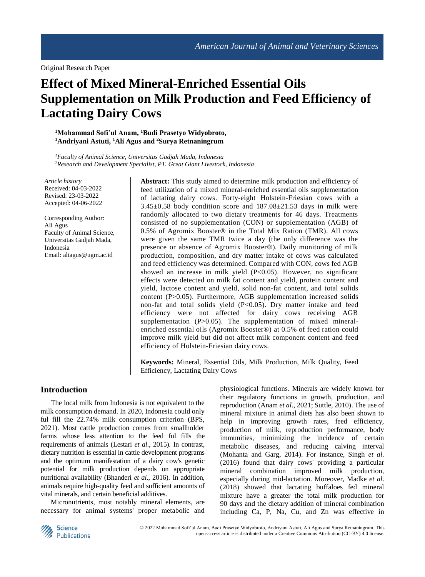Original Research Paper

# **Effect of Mixed Mineral-Enriched Essential Oils Supplementation on Milk Production and Feed Efficiency of Lactating Dairy Cows**

**<sup>1</sup>Mohammad Sofi'ul Anam, <sup>1</sup>Budi Prasetyo Widyobroto, <sup>1</sup>Andriyani Astuti, <sup>1</sup>Ali Agus and <sup>2</sup>Surya Retnaningrum**

*<sup>1</sup>Faculty of Animal Science, Universitas Gadjah Mada, Indonesia <sup>2</sup>Research and Development Specialist, PT. Great Giant Livestock, Indonesia*

*Article history* Received: 04-03-2022 Revised: 23-03-2022 Accepted: 04-06-2022

Corresponding Author: Ali Agus Faculty of Animal Science, Universitas Gadjah Mada, Indonesia Email[: aliagus@ugm.ac.id](mailto:aliagus@ugm.ac.id)

**Abstract:** This study aimed to determine milk production and efficiency of feed utilization of a mixed mineral-enriched essential oils supplementation of lactating dairy cows. Forty-eight Holstein-Friesian cows with a  $3.45\pm0.58$  body condition score and  $187.08\pm21.53$  days in milk were randomly allocated to two dietary treatments for 46 days. Treatments consisted of no supplementation (CON) or supplementation (AGB) of 0.5% of Agromix Booster® in the Total Mix Ration (TMR). All cows were given the same TMR twice a day (the only difference was the presence or absence of Agromix Booster®). Daily monitoring of milk production, composition, and dry matter intake of cows was calculated and feed efficiency was determined. Compared with CON, cows fed AGB showed an increase in milk yield (P<0.05). However, no significant effects were detected on milk fat content and yield, protein content and yield, lactose content and yield, solid non-fat content, and total solids content (P>0.05). Furthermore, AGB supplementation increased solids non-fat and total solids yield (P<0.05). Dry matter intake and feed efficiency were not affected for dairy cows receiving AGB supplementation (P>0.05). The supplementation of mixed mineralenriched essential oils (Agromix Booster®) at 0.5% of feed ration could improve milk yield but did not affect milk component content and feed efficiency of Holstein-Friesian dairy cows.

**Keywords:** Mineral, Essential Oils, Milk Production, Milk Quality, Feed Efficiency, Lactating Dairy Cows

## **Introduction**

The local milk from Indonesia is not equivalent to the milk consumption demand. In 2020, Indonesia could only ful fill the 22.74% milk consumption criterion (BPS, 2021). Most cattle production comes from smallholder farms whose less attention to the feed ful fills the requirements of animals (Lestari *et al*., 2015). In contrast, dietary nutrition is essential in cattle development programs and the optimum manifestation of a dairy cow's genetic potential for milk production depends on appropriate nutritional availability (Bhanderi *et al*., 2016). In addition, animals require high-quality feed and sufficient amounts of vital minerals, and certain beneficial additives.

Micronutrients, most notably mineral elements, are necessary for animal systems' proper metabolic and physiological functions. Minerals are widely known for their regulatory functions in growth, production, and reproduction (Anam *et al*., 2021; Suttle, 2010). The use of mineral mixture in animal diets has also been shown to help in improving growth rates, feed efficiency, production of milk, reproduction performance, body immunities, minimizing the incidence of certain metabolic diseases, and reducing calving interval (Mohanta and Garg, 2014). For instance, Singh *et al*. (2016) found that dairy cows' providing a particular mineral combination improved milk production, especially during mid-lactation. Moreover, Madke *et al*. (2018) showed that lactating buffaloes fed mineral mixture have a greater the total milk production for 90 days and the dietary addition of mineral combination including Ca, P, Na, Cu, and Zn was effective in

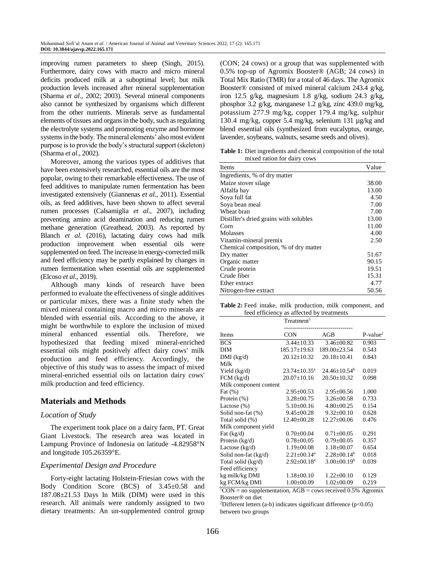improving rumen parameters to sheep (Singh, 2015). Furthermore, dairy cows with macro and micro mineral deficits produced milk at a suboptimal level; but milk production levels increased after mineral supplementation (Sharma *et al*., 2002; 2003). Several mineral components also cannot be synthesized by organisms which different from the other nutrients. Minerals serve as fundamental elements of tissues and organsin the body, such as regulating the electrolyte systems and promoting enzyme and hormone systemsin the body. The mineral elements' also most evident purpose is to provide the body's structural support (skeleton) (Sharma *et al*., 2002).

Moreover, among the various types of additives that have been extensively researched, essential oils are the most popular, owing to their remarkable effectiveness. The use of feed additives to manipulate rumen fermentation has been investigated extensively (Giannenas *et al*., 2011). Essential oils, as feed additives, have been shown to affect several rumen processes (Calsamiglia *et al*., 2007), including preventing amino acid deamination and reducing rumen methane generation (Greathead, 2003). As reported by Blanch *et al*. (2016), lactating dairy cows had milk production improvement when essential oils were supplemented on feed. The increase in energy-corrected milk and feed efficiency may be partly explained by changes in rumen fermentation when essential oils are supplemented (Elcoso *et al*., 2019).

Although many kinds of research have been performed to evaluate the effectiveness of single additives or particular mixes, there was a finite study when the mixed mineral containing macro and micro minerals are blended with essential oils. According to the above, it might be worthwhile to explore the inclusion of mixed mineral enhanced essential oils. Therefore, we hypothesized that feeding mixed mineral-enriched essential oils might positively affect dairy cows' milk production and feed efficiency. Accordingly, the objective of this study was to assess the impact of mixed mineral-enriched essential oils on lactation dairy cows' milk production and feed efficiency.

# **Materials and Methods**

#### *Location of Study*

The experiment took place on a dairy farm, PT. Great Giant Livestock. The research area was located in Lampung Province of Indonesia on latitude -4.82958°N and longitude 105.26359°E.

#### *Experimental Design and Procedure*

Forty-eight lactating Holstein-Friesian cows with the Body Condition Score (BCS) of 3.45±0.58 and 187.08±21.53 Days In Milk (DIM) were used in this research. All animals were randomly assigned to two dietary treatments: An un-supplemented control group

(CON; 24 cows) or a group that was supplemented with 0.5% top-up of Agromix Booster® (AGB; 24 cows) in Total Mix Ratio (TMR) for a total of 46 days. The Agromix Booster® consisted of mixed mineral calcium 243.4 g/kg, iron 12.5 g/kg, magnesium 1.8 g/kg, sodium 24.3 g/kg, phosphor 3.2 g/kg, manganese 1.2 g/kg, zinc 439.0 mg/kg, potassium 277.9 mg/kg, copper 179.4 mg/kg, sulphur 130.4 mg/kg, copper 5.4 mg/kg, selenium 131 µg/kg and blend essential oils (synthesized from eucalyptus, orange, lavender, soybeans, walnuts, sesame seeds and olives).

**Table 1:** Diet ingredients and chemical composition of the total mixed ration for dairy cows

| Items                                  | Value |
|----------------------------------------|-------|
| Ingredients, % of dry matter           |       |
| Maize stover silage                    | 38.00 |
| Alfalfa hay                            | 13.00 |
| Soya full fat                          | 4.50  |
| Soya bean meal                         | 7.00  |
| Wheat bran                             | 7.00  |
| Distiller's dried grains with solubles | 13.00 |
| Corn                                   | 11.00 |
| Molasses                               | 4.00  |
| Vitamin-mineral premix                 | 2.50  |
| Chemical composition, % of dry matter  |       |
| Dry matter                             | 51.67 |
| Organic matter                         | 90.15 |
| Crude protein                          | 19.51 |
| Crude fiber                            | 15.31 |
| Ether extract                          | 4.77  |
| Nitrogen-free extract                  | 50.56 |

**Table 2:** Feed intake, milk production, milk component, and feed efficiency as affected by treatments

|                        | Treatment <sup>1</sup>        |                     |            |
|------------------------|-------------------------------|---------------------|------------|
|                        |                               |                     |            |
| <b>Items</b>           | <b>CON</b>                    | AGB                 | $P-value2$ |
| <b>BCS</b>             | $3.44 \pm 10.33$              | $3.46 \pm 00.82$    | 0.903      |
| <b>DIM</b>             | $185.17 \pm 19.63$            | 189.00±23.54        | 0.543      |
| $DMI$ (kg/d)           | $20.12 \pm 10.32$             | $20.18 \pm 10.41$   | 0.843      |
| Milk                   |                               |                     |            |
| Yield $(kg/d)$         | $23.74 \pm 10.35^a$           | $24.46 \pm 10.54^b$ | 0.019      |
| $FCM$ (kg/d)           | $20.07 \pm 10.16$             | $20.50 \pm 10.32$   | 0.098      |
| Milk component content |                               |                     |            |
| Fat $(\%)$             | $2.95 \pm 00.53$              | $2.95 \pm 00.56$    | 1.000      |
| Protein (%)            | $3.28 \pm 00.75$              | $3.26 \pm 00.58$    | 0.733      |
| Lactose $(\%)$         | $5.10\pm00.16$                | $4.80 \pm 00.25$    | 0.154      |
| Solid non-fat (%)      | $9.45 \pm 00.28$              | $9.32 \pm 00.10$    | 0.628      |
| Total solid (%)        | $12.40 \pm 00.28$             | $12.27 \pm 00.06$   | 0.476      |
| Milk component yield   |                               |                     |            |
| Fat $(kg/d)$           | $0.70 \pm 00.04$              | $0.71 \pm 00.05$    | 0.291      |
| Protein $(kg/d)$       | $0.78 \pm 00.05$              | $0.79 \pm 00.05$    | 0.357      |
| Lactose $(kg/d)$       | $1.19 \pm 00.08$              | $1.18 \pm 00.07$    | 0.654      |
| Solid non-fat $(kg/d)$ | $2.21 \pm 00.14$ <sup>a</sup> | $2.28 \pm 00.14^b$  | 0.018      |
| Total solid (kg/d)     | $2.92 \pm 00.18^a$            | $3.00 \pm 00.19^b$  | 0.039      |
| Feed efficiency        |                               |                     |            |
| kg milk/kg DMI         | $1.18 \pm 00.10$              | $1.22 \pm 00.10$    | 0.129      |
| kg FCM/kg DMI          | $1.00 \pm 00.09$              | $1.02 \pm 00.09$    | 0.219      |

 $1^1$ CON = no supplementation, AGB = cows received 0.5% Agromix Booster® on diet

<sup>2</sup>Different letters (a-b) indicates significant difference ( $p$ <0.05) between two groups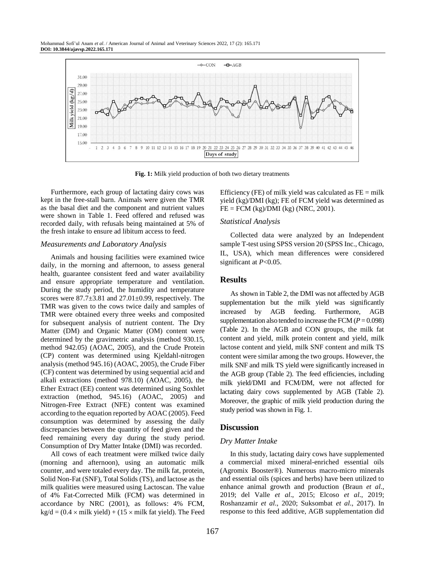Mohammad Sofi'ul Anam *et al*. / American Journal of Animal and Veterinary Sciences 2022, 17 (2): 165.171 **DOI: 10.3844/ajavsp.2022.165.171**



**Fig. 1:** Milk yield production of both two dietary treatments

Furthermore, each group of lactating dairy cows was kept in the free-stall barn. Animals were given the TMR as the basal diet and the component and nutrient values were shown in Table 1. Feed offered and refused was recorded daily, with refusals being maintained at 5% of the fresh intake to ensure ad libitum access to feed.

#### *Measurements and Laboratory Analysis*

Animals and housing facilities were examined twice daily, in the morning and afternoon, to assess general health, guarantee consistent feed and water availability and ensure appropriate temperature and ventilation. During the study period, the humidity and temperature scores were  $87.7 \pm 3.81$  and  $27.01 \pm 0.99$ , respectively. The TMR was given to the cows twice daily and samples of TMR were obtained every three weeks and composited for subsequent analysis of nutrient content. The Dry Matter (DM) and Organic Matter (OM) content were determined by the gravimetric analysis (method 930.15, method 942.05) (AOAC, 2005), and the Crude Protein (CP) content was determined using Kjeldahl-nitrogen analysis (method 945.16) (AOAC, 2005), the Crude Fiber (CF) content was determined by using sequential acid and alkali extractions (method 978.10) (AOAC, 2005), the Ether Extract (EE) content was determined using Soxhlet extraction (method, 945.16) (AOAC, 2005) and Nitrogen-Free Extract (NFE) content was examined according to the equation reported by AOAC (2005). Feed consumption was determined by assessing the daily discrepancies between the quantity of feed given and the feed remaining every day during the study period. Consumption of Dry Matter Intake (DMI) was recorded.

All cows of each treatment were milked twice daily (morning and afternoon), using an automatic milk counter, and were totaled every day. The milk fat, protein, Solid Non-Fat (SNF), Total Solids (TS), and lactose as the milk qualities were measured using Lactoscan. The value of 4% Fat-Corrected Milk (FCM) was determined in accordance by NRC (2001), as follows: 4% FCM,  $kg/d = (0.4 \times milk$  yield) + (15  $\times$  milk fat yield). The Feed Efficiency (FE) of milk yield was calculated as  $FE = milk$ yield (kg)/DMI (kg); FE of FCM yield was determined as  $FE = FCM (kg)/DMI (kg) (NRC, 2001).$ 

#### *Statistical Analysis*

Collected data were analyzed by an Independent sample T-test using SPSS version 20 (SPSS Inc., Chicago, IL, USA), which mean differences were considered significant at *P*<0.05.

#### **Results**

As shown in Table 2, the DMI was not affected by AGB supplementation but the milk yield was significantly increased by AGB feeding. Furthermore, AGB supplementation also tended to increase the FCM ( $P = 0.098$ ) (Table 2). In the AGB and CON groups, the milk fat content and yield, milk protein content and yield, milk lactose content and yield, milk SNF content and milk TS content were similar among the two groups. However, the milk SNF and milk TS yield were significantly increased in the AGB group (Table 2). The feed efficiencies, including milk yield/DMI and FCM/DM, were not affected for lactating dairy cows supplemented by AGB (Table 2). Moreover, the graphic of milk yield production during the study period was shown in Fig. 1.

#### **Discussion**

#### *Dry Matter Intake*

In this study, lactating dairy cows have supplemented a commercial mixed mineral-enriched essential oils (Agromix Booster®). Numerous macro-micro minerals and essential oils (spices and herbs) have been utilized to enhance animal growth and production (Braun *et al*., 2019; del Valle *et al*., 2015; Elcoso *et al*., 2019; Roshanzamir *et al*., 2020; Suksombat *et al*., 2017). In response to this feed additive, AGB supplementation did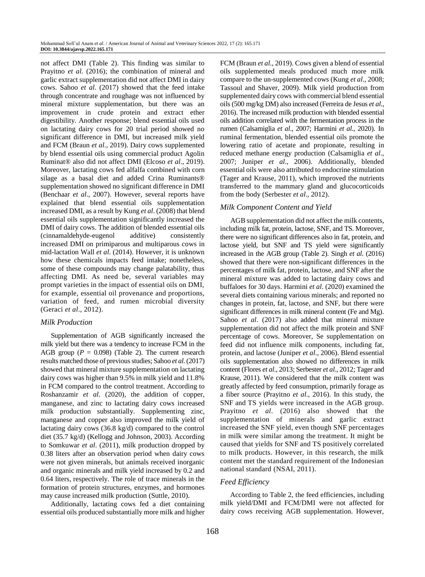not affect DMI (Table 2). This finding was similar to Prayitno *et al*. (2016); the combination of mineral and garlic extract supplementation did not affect DMI in dairy cows. Sahoo *et al*. (2017) showed that the feed intake through concentrate and roughage was not influenced by mineral mixture supplementation, but there was an improvement in crude protein and extract ether digestibility. Another response; blend essential oils used on lactating dairy cows for 20 trial period showed no significant difference in DMI, but increased milk yield and FCM (Braun *et al*., 2019). Dairy cows supplemented by blend essential oils using commercial product Agolin Ruminat® also did not affect DMI (Elcoso *et al*., 2019). Moreover, lactating cows fed alfalfa combined with corn silage as a basal diet and added Crina Ruminants® supplementation showed no significant difference in DMI (Benchaar *et al*., 2007). However, several reports have explained that blend essential oils supplementation increased DMI, as a result by Kung *et al*. (2008) that blend essential oils supplementation significantly increased the DMI of dairy cows. The addition of blended essential oils (cinnamaldehyde-eugenol additive) consistently increased DMI on primiparous and multiparous cows in mid-lactation Wall *et al*. (2014). However, it is unknown how these chemicals impacts feed intake; nonetheless, some of these compounds may change palatability, thus affecting DMI. As need be, several variables may prompt varieties in the impact of essential oils on DMI, for example, essential oil provenance and proportions, variation of feed, and rumen microbial diversity (Geraci *et al*., 2012).

#### *Milk Production*

Supplementation of AGB significantly increased the milk yield but there was a tendency to increase FCM in the AGB group ( $P = 0.098$ ) (Table 2). The current research results matched those of previous studies; Sahoo *et al*. (2017) showed that mineral mixture supplementation on lactating dairy cows was higher than 9.5% in milk yield and 11.8% in FCM compared to the control treatment. According to Roshanzamir *et al*. (2020), the addition of copper, manganese, and zinc to lactating dairy cows increased milk production substantially. Supplementing zinc, manganese and copper also improved the milk yield of lactating dairy cows (36.8 kg/d) compared to the control diet (35.7 kg/d) (Kellogg and Johnson, 2003). According to Somkuwar *et al*. (2011), milk production dropped by 0.38 liters after an observation period when dairy cows were not given minerals, but animals received inorganic and organic minerals and milk yield increased by 0.2 and 0.64 liters, respectively. The role of trace minerals in the formation of protein structures, enzymes, and hormones may cause increased milk production (Suttle, 2010).

Additionally, lactating cows fed a diet containing essential oils produced substantially more milk and higher FCM (Braun *et al*., 2019). Cows given a blend of essential oils supplemented meals produced much more milk compare to the un-supplemented cows (Kung *et al*., 2008; Tassoul and Shaver, 2009). Milk yield production from supplemented dairy cows with commercial blend essential oils (500 mg/kg DM) also increased (Ferreira de Jesus *et al*., 2016). The increased milk production with blended essential oils addition correlated with the fermentation process in the rumen (Calsamiglia *et al*., 2007; Harmini *et al*., 2020). In ruminal fermentation, blended essential oils promote the lowering ratio of acetate and propionate, resulting in reduced methane energy production (Calsamiglia *et al*., 2007; Juniper *et al*., 2006). Additionally, blended essential oils were also attributed to endocrine stimulation (Tager and Krause, 2011), which improved the nutrients transferred to the mammary gland and glucocorticoids from the body (Serbester *et al*., 2012).

## *Milk Component Content and Yield*

AGB supplementation did not affect the milk contents, including milk fat, protein, lactose, SNF, and TS. Moreover, there were no significant differences also in fat, protein, and lactose yield, but SNF and TS yield were significantly increased in the AGB group (Table 2). Singh *et al*. (2016) showed that there were non-significant differences in the percentages of milk fat, protein, lactose, and SNF after the mineral mixture was added to lactating dairy cows and buffaloes for 30 days. Harmini *et al*. (2020) examined the several diets containing various minerals; and reported no changes in protein, fat, lactose, and SNF, but there were significant differences in milk mineral content (Fe and Mg). Sahoo *et al*. (2017) also added that mineral mixture supplementation did not affect the milk protein and SNF percentage of cows. Moreover, Se supplementation on feed did not influence milk components, including fat, protein, and lactose (Juniper *et al*., 2006). Blend essential oils supplementation also showed no differences in milk content (Flores *et al*., 2013; Serbester *et al*., 2012; Tager and Krause, 2011). We considered that the milk content was greatly affected by feed consumption, primarily forage as a fiber source (Prayitno *et al*., 2016). In this study, the SNF and TS yields were increased in the AGB group. Prayitno *et al*. (2016) also showed that the supplementation of minerals and garlic extract increased the SNF yield, even though SNF percentages in milk were similar among the treatment. It might be caused that yields for SNF and TS positively correlated to milk products. However, in this research, the milk content met the standard requirement of the Indonesian national standard (NSAI, 2011).

## *Feed Efficiency*

According to Table 2, the feed efficiencies, including milk yield/DMI and FCM/DMI were not affected for dairy cows receiving AGB supplementation. However,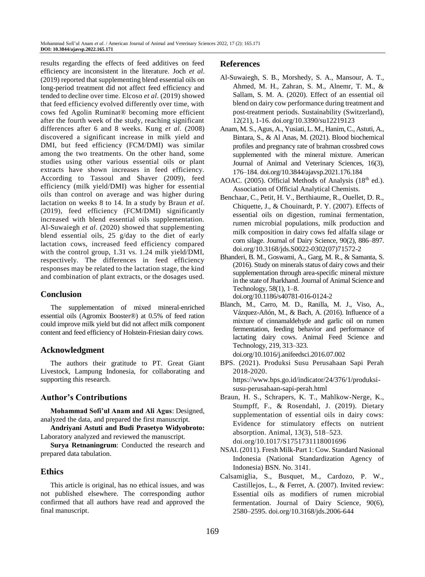results regarding the effects of feed additives on feed efficiency are inconsistent in the literature. Joch *et al*. (2019) reported that supplementing blend essential oils on long-period treatment did not affect feed efficiency and tended to decline over time. Elcoso *et al*. (2019) showed that feed efficiency evolved differently over time, with cows fed Agolin Ruminat® becoming more efficient after the fourth week of the study, reaching significant differences after 6 and 8 weeks. Kung *et al*. (2008) discovered a significant increase in milk yield and DMI, but feed efficiency (FCM/DMI) was similar among the two treatments. On the other hand, some studies using other various essential oils or plant extracts have shown increases in feed efficiency. According to Tassoul and Shaver (2009), feed efficiency (milk yield/DMI) was higher for essential oils than control on average and was higher during lactation on weeks 8 to 14. In a study by Braun *et al*. (2019), feed efficiency (FCM/DMI) significantly increased with blend essential oils supplementation. Al-Suwaiegh *et al*. (2020) showed that supplementing blend essential oils, 25 g/day to the diet of early lactation cows, increased feed efficiency compared with the control group, 1.31 vs. 1.24 milk yield/DMI, respectively. The differences in feed efficiency responses may be related to the lactation stage, the kind and combination of plant extracts, or the dosages used.

# **Conclusion**

The supplementation of mixed mineral-enriched essential oils (Agromix Booster®) at 0.5% of feed ration could improve milk yield but did not affect milk component content and feed efficiency of Holstein-Friesian dairy cows.

## **Acknowledgment**

The authors their gratitude to PT. Great Giant Livestock, Lampung Indonesia, for collaborating and supporting this research.

# **Author's Contributions**

**Mohammad Sofi'ul Anam and Ali Agus**: Designed, analyzed the data, and prepared the first manuscript.

**Andriyani Astuti and Budi Prasetyo Widyobroto:** Laboratory analyzed and reviewed the manuscript.

**Surya Retnaningrum**: Conducted the research and prepared data tabulation.

# **Ethics**

This article is original, has no ethical issues, and was not published elsewhere. The corresponding author confirmed that all authors have read and approved the final manuscript.

### **References**

- Al-Suwaiegh, S. B., Morshedy, S. A., Mansour, A. T., Ahmed, M. H., Zahran, S. M., Alnemr, T. M., & Sallam, S. M. A. (2020). Effect of an essential oil blend on dairy cow performance during treatment and post-treatment periods. Sustainability (Switzerland), 12(21), 1-16. [doi.org/10.3390/su12219123](https://doi.org/10.3390/su12219123)
- Anam, M. S., Agus, A., Yusiati, L. M., Hanim, C., Astuti, A., Bintara, S., & Al Anas, M. (2021). Blood biochemical profiles and pregnancy rate of brahman crossbred cows supplemented with the mineral mixture. American Journal of Animal and Veterinary Sciences, 16(3), 176–184[. doi.org/10.3844/ajavsp.2021.176.184](https://doi.org/10.3844/ajavsp.2021.176.184)
- AOAC. (2005). Official Methods of Analysis (18<sup>th</sup> ed.). Association of Official Analytical Chemists.
- Benchaar, C., Petit, H. V., Berthiaume, R., Ouellet, D. R., Chiquette, J., & Chouinardt, P. Y. (2007). Effects of essential oils on digestion, ruminai fermentation, rumen microbial populations, milk production and milk composition in dairy cows fed alfalfa silage or corn silage. Journal of Dairy Science, 90(2), 886–897. [doi.org/10.3168/jds.S0022-0302\(07\)71572-2](https://doi.org/10.3168/jds.S0022-0302(07)71572-2)
- Bhanderi, B. M., Goswami, A., Garg, M. R., & Samanta, S. (2016). Study on minerals status of dairy cows and their supplementation through area-specific mineral mixture in the state of Jharkhand. Journal of Animal Science and Technology, 58(1), 1–8. [doi.org/10.1186/s40781-016-0124-2](https://doi.org/10.1186/s40781-016-0124-2)
- Blanch, M., Carro, M. D., Ranilla, M. J., Viso, A., Vázquez-Añón, M., & Bach, A. (2016). Influence of a mixture of cinnamaldehyde and garlic oil on rumen fermentation, feeding behavior and performance of lactating dairy cows. Animal Feed Science and Technology, 219, 313–323.
- [doi.org/10.1016/j.anifeedsci.2016.07.002](https://doi.org/10.1016/j.anifeedsci.2016.07.002) BPS. (2021). Produksi Susu Perusahaan Sapi Perah 2018-2020. [https://www.bps.go.id/indicator/24/376/1/produksi](https://www.bps.go.id/indicator/24/376/1/produksi-susu-perusahaan-sapi-perah.html)[susu-perusahaan-sapi-perah.html](https://www.bps.go.id/indicator/24/376/1/produksi-susu-perusahaan-sapi-perah.html)
- Braun, H. S., Schrapers, K. T., Mahlkow-Nerge, K., Stumpff, F., & Rosendahl, J. (2019). Dietary supplementation of essential oils in dairy cows: Evidence for stimulatory effects on nutrient absorption. Animal, 13(3), 518–523. [doi.org/10.1017/S1751731118001696](https://doi.org/10.1017/S1751731118001696)
- NSAI. (2011). Fresh Milk-Part 1: Cow. Standard Nasional Indonesia (National Standardization Agency of Indonesia) BSN. No. 3141.
- Calsamiglia, S., Busquet, M., Cardozo, P. W., Castillejos, L., & Ferret, A. (2007). Invited review: Essential oils as modifiers of rumen microbial fermentation. Journal of Dairy Science, 90(6), 2580–2595. [doi.org/10.3168/jds.2006-644](https://doi.org/10.3168/jds.2006-644)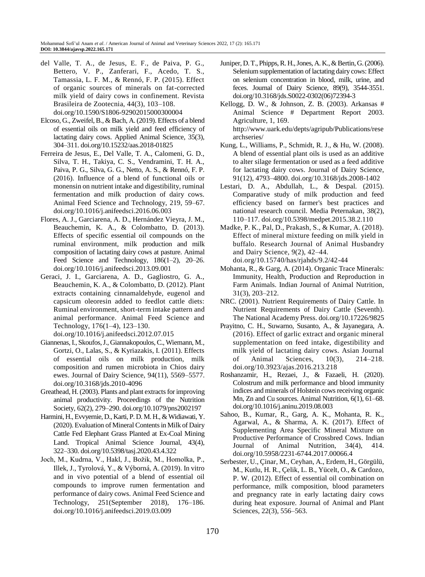- del Valle, T. A., de Jesus, E. F., de Paiva, P. G., Bettero, V. P., Zanferari, F., Acedo, T. S., Tamassia, L. F. M., & Rennó, F. P. (2015). Effect of organic sources of minerals on fat-corrected milk yield of dairy cows in confinement. Revista Brasileira de Zootecnia, 44(3), 103–108. [doi.org/10.1590/S1806-92902015000300004](https://doi.org/10.1590/S1806-92902015000300004)
- Elcoso, G., Zweifel, B., & Bach, A. (2019). Effects of a blend of essential oils on milk yield and feed efficiency of lactating dairy cows. Applied Animal Science, 35(3), 304–311. [doi.org/10.15232/aas.2018-01825](https://doi.org/10.15232/aas.2018-01825)
- Ferreira de Jesus, E., Del Valle, T. A., Calomeni, G. D., Silva, T. H., Takiya, C. S., Vendramini, T. H. A., Paiva, P. G., Silva, G. G., Netto, A. S., & Rennó, F. P. (2016). Influence of a blend of functional oils or monensin on nutrient intake and digestibility, ruminal fermentation and milk production of dairy cows. Animal Feed Science and Technology, 219, 59–67. [doi.org/10.1016/j.anifeedsci.2016.06.003](https://doi.org/10.1016/j.anifeedsci.2016.06.003)
- Flores, A. J., Garciarena, A. D., Hernández Vieyra, J. M., Beauchemin, K. A., & Colombatto, D. (2013). Effects of specific essential oil compounds on the ruminal environment, milk production and milk composition of lactating dairy cows at pasture. Animal Feed Science and Technology, 186(1-2), 20-26. [doi.org/10.1016/j.anifeedsci.2013.09.001](https://doi.org/10.1016/j.anifeedsci.2013.09.001)
- Geraci, J. I., Garciarena, A. D., Gagliostro, G. A., Beauchemin, K. A., & Colombatto, D. (2012). Plant extracts containing cinnamaldehyde, eugenol and capsicum oleoresin added to feedlot cattle diets: Ruminal environment, short-term intake pattern and animal performance. Animal Feed Science and Technology, 176(1–4), 123–130.

[doi.org/10.1016/j.anifeedsci.2012.07.015](https://doi.org/10.1016/j.anifeedsci.2012.07.015)

- Giannenas, I., Skoufos, J., Giannakopoulos, C., Wiemann, M., Gortzi, O., Lalas, S., & Kyriazakis, I. (2011). Effects of essential oils on milk production, milk composition and rumen microbiota in Chios dairy ewes. Journal of Dairy Science, 94(11), 5569–5577. [doi.org/10.3168/jds.2010-4096](https://doi.org/10.3168/jds.2010-4096)
- Greathead, H. (2003). Plants and plant extracts for improving animal productivity. Proceedings of the Nutrition Society, 62(2), 279–290[. doi.org/10.1079/pns2002197](https://doi.org/10.1079/pns2002197)
- Harmini, H., Evvyernie, D., Karti, P. D. M. H., & Widiawati, Y. (2020). Evaluation of Mineral Contents in Milk of Dairy Cattle Fed Elephant Grass Planted at Ex-Coal Mining Land. Tropical Animal Science Journal, 43(4), 322–330. [doi.org/10.5398/tasj.2020.43.4.322](https://doi.org/10.5398/tasj.2020.43.4.322)
- Joch, M., Kudrna, V., Hakl, J., Božik, M., Homolka, P., Illek, J., Tyrolová, Y., & Výborná, A. (2019). In vitro and in vivo potential of a blend of essential oil compounds to improve rumen fermentation and performance of dairy cows. Animal Feed Science and Technology, 251(September 2018), 176–186. [doi.org/10.1016/j.anifeedsci.2019.03.009](https://doi.org/10.1016/j.anifeedsci.2019.03.009)
- Juniper, D. T., Phipps, R. H., Jones, A. K., & Bertin, G. (2006). Selenium supplementation of lactating dairy cows: Effect on selenium concentration in blood, milk, urine, and feces. Journal of Dairy Science, 89(9), 3544-3551. [doi.org/10.3168/jds.S0022-0302\(06\)72394-3](https://doi.org/10.3168/jds.S0022-0302(06)72394-3)
- Kellogg, D. W., & Johnson, Z. B. (2003). Arkansas # Animal Science # Department Report 2003. Agriculture, 1, 169. [http://www.uark.edu/depts/agripub/Publications/rese](http://www.uark.edu/depts/agripub/Publications/researchseries/) [archseries/](http://www.uark.edu/depts/agripub/Publications/researchseries/)
- Kung, L., Williams, P., Schmidt, R. J., & Hu, W. (2008). A blend of essential plant oils is used as an additive to alter silage fermentation or used as a feed additive for lactating dairy cows. Journal of Dairy Science, 91(12), 4793–4800. [doi.org/10.3168/jds.2008-1402](https://doi.org/10.3168/jds.2008-1402)
- Lestari, D. A., Abdullah, L., & Despal. (2015). Comparative study of milk production and feed efficiency based on farmer's best practices and national research council. Media Peternakan, 38(2), 110–117. [doi.org/10.5398/medpet.2015.38.2.110](https://doi.org/10.5398/medpet.2015.38.2.110)
- Madke, P. K., Pal, D., Prakash, S., & Kumar, A. (2018). Effect of mineral mixture feeding on milk yield in buffalo. Research Journal of Animal Husbandry and Dairy Science, 9(2), 42–44. [doi.org/10.15740/has/rjahds/9.2/42-44](https://doi.org/10.15740/has/rjahds/9.2/42-44)
- Mohanta, R., & Garg, A. (2014). Organic Trace Minerals: Immunity, Health, Production and Reproduction in Farm Animals. Indian Journal of Animal Nutrition, 31(3), 203–212.
- NRC. (2001). Nutrient Requirements of Dairy Cattle. In Nutrient Requirements of Dairy Cattle (Seventh). The National Academy Press[. doi.org/10.17226/9825](https://doi.org/10.17226/9825)
- Prayitno, C. H., Suwarno, Susanto, A., & Jayanegara, A. (2016). Effect of garlic extract and organic mineral supplementation on feed intake, digestibility and milk yield of lactating dairy cows. Asian Journal of Animal Sciences, 10(3), 214–218. [doi.org/10.3923/ajas.2016.213.218](https://doi.org/10.3923/ajas.2016.213.218)
- Roshanzamir, H., Rezaei, J., & Fazaeli, H. (2020). Colostrum and milk performance and blood immunity indices and minerals of Holstein cows receiving organic Mn, Zn and Cu sources. Animal Nutrition, 6(1), 61–68. [doi.org/10.1016/j.aninu.2019.08.003](https://doi.org/10.1016/j.aninu.2019.08.003)
- Sahoo, B., Kumar, R., Garg, A. K., Mohanta, R. K., Agarwal, A., & Sharma, A. K. (2017). Effect of Supplementing Area Specific Mineral Mixture on Productive Performance of Crossbred Cows. Indian Journal of Animal Nutrition, 34(4), 414. [doi.org/10.5958/2231-6744.2017.00066.4](https://doi.org/10.5958/2231-6744.2017.00066.4)
- Serbester, U., Çinar, M., Ceyhan, A., Erdem, H., Görgülü, M., Kutlu, H. R., Çelik, L. B., Yücelt, O., & Cardozo, P. W. (2012). Effect of essential oil combination on performance, milk composition, blood parameters and pregnancy rate in early lactating dairy cows during heat exposure. Journal of Animal and Plant Sciences, 22(3), 556–563.